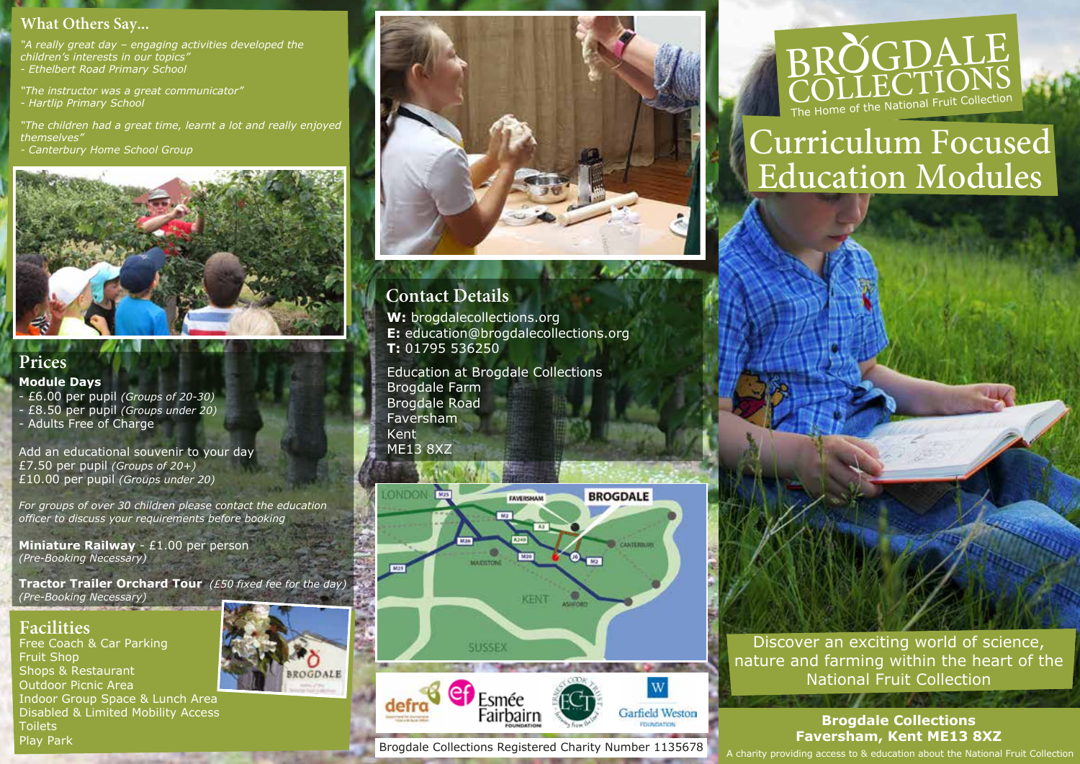#### **What Others Say...**

*"A really great day – engaging activities developed the children's interests in our topics" - Ethelbert Road Primary School*

*"The instructor was a great communicator" - Hartlip Primary School*

*"The children had a great time, learnt a lot and really enjoyed themselves"*

*- Canterbury Home School Group*

# **Prices**

#### **Module Days**

- £6.00 per pupil *(Groups of 20-30)* - £8.50 per pupil *(Groups under 20)* - Adults Free of Charge

Add an educational souvenir to your day £7.50 per pupil *(Groups of 20+)* £10.00 per pupil *(Groups under 20)*

*For groups of over 30 children please contact the education officer to discuss your requirements before booking*

**Miniature Railway** - £1.00 per person *(Pre-Booking Necessary)*

**Tractor Trailer Orchard Tour** *(£50 fixed fee for the day) (Pre-Booking Necessary)*

#### **Facilities**

Free Coach & Car Parking Fruit Shop Shops & Restaurant Outdoor Picnic Area Indoor Group Space & Lunch Area Disabled & Limited Mobility Access **Toilets** Play Park



### **W:** brogdalecollections.org **Contact Details**

**E:** education@brogdalecollections.org **T:** 01795 536250

Education at Brogdale Collections Brogdale Farm Brogdale Road Faversham Kent ME13 8XZ





Fairbairr

**Garfield Weston** 



# Curriculum Focused Education Modules



#### **Brogdale Collections Faversham, Kent ME13 8XZ**

A charity providing access to & education about the National Fruit Collection